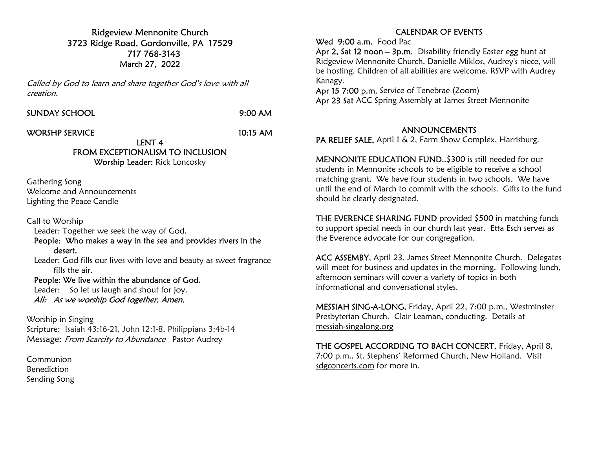Ridgeview Mennonite Church 3723 Ridge Road, Gordonville, PA 17529 717 768-3143 March 27, 2022

Called by God to learn and share together God's love with all creation.

SUNDAY SCHOOL 9:00 AM

WORSHP SERVICE 10:15 AM

LENT 4 FROM EXCEPTIONALISM TO INCLUSION

Worship Leader: Rick Loncosky

Gathering Song Welcome and Announcements Lighting the Peace Candle

Call to Worship

Leader: Together we seek the way of God.

 People: Who makes a way in the sea and provides rivers in the desert.

 Leader: God fills our lives with love and beauty as sweet fragrance fills the air.

People: We live within the abundance of God.

 Leader: So let us laugh and shout for joy. All: As we worship God together. Amen.

Worship in Singing Scripture: Isaiah 43:16-21, John 12:1-8, Philippians 3:4b-14 Message: From Scarcity to Abundance Pastor Audrey

Communion Benediction Sending Song

## CALENDAR OF EVENTS

Wed 9:00 a.m. Food Pac

Apr 2, Sat 12 noon - 3p.m. Disability friendly Easter egg hunt at Ridgeview Mennonite Church. Danielle Miklos, Audrey's niece, will be hosting. Children of all abilities are welcome. RSVP with Audrey Kanagy.

Apr 15 7:00 p.m. Service of Tenebrae (Zoom) Apr 23 Sat ACC Spring Assembly at James Street Mennonite

## ANNOUNCEMENTS

PA RELIEF SALE, April 1 & 2, Farm Show Complex, Harrisburg.

MENNONITE EDUCATION FUND..\$300 is still needed for our students in Mennonite schools to be eligible to receive a school matching grant. We have four students in two schools. We have until the end of March to commit with the schools. Gifts to the fund should be clearly designated.

THE EVERENCE SHARING FUND provided \$500 in matching funds to support special needs in our church last year. Etta Esch serves as the Everence advocate for our congregation.

ACC ASSEMBY, April 23, James Street Mennonite Church. Delegates will meet for business and updates in the morning. Following lunch, afternoon seminars will cover a variety of topics in both informational and conversational styles.

MESSIAH SING-A-LONG, Friday, April 22, 7:00 p.m., Westminster Presbyterian Church. Clair Leaman, conducting. Details at messiah-singalong.org

THE GOSPEL ACCORDING TO BACH CONCERT, Friday, April 8, 7:00 p.m., St. Stephens' Reformed Church, New Holland. Visit sdgconcerts.com for more in.